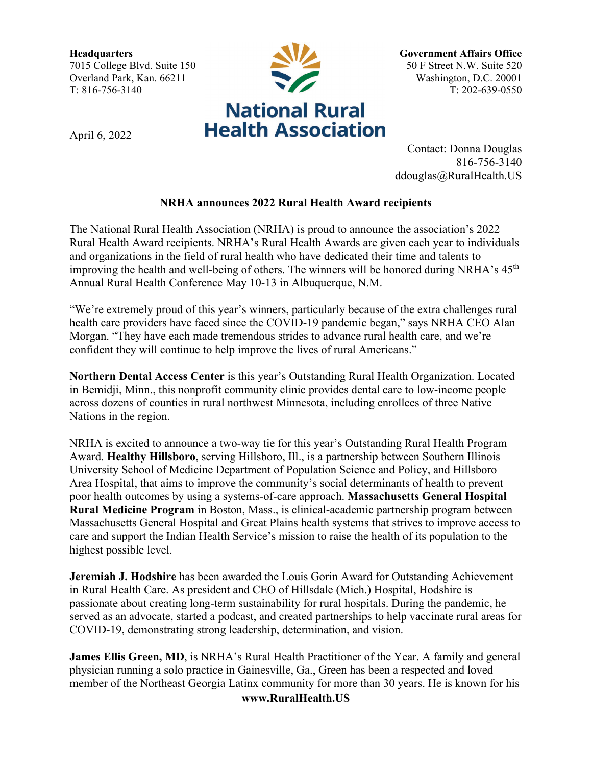**Headquarters** 7015 College Blvd. Suite 150 Overland Park, Kan. 66211 T: 816-756-3140



April 6, 2022

**Government Affairs Office** 50 F Street N.W. Suite 520 Washington, D.C. 20001 T: 202-639-0550

Contact: Donna Douglas 816-756-3140 ddouglas@RuralHealth.US

## **NRHA announces 2022 Rural Health Award recipients**

The National Rural Health Association (NRHA) is proud to announce the association's 2022 Rural Health Award recipients. NRHA's Rural Health Awards are given each year to individuals and organizations in the field of rural health who have dedicated their time and talents to improving the health and well-being of others. The winners will be honored during NRHA's  $45<sup>th</sup>$ Annual Rural Health Conference May 10-13 in Albuquerque, N.M.

"We're extremely proud of this year's winners, particularly because of the extra challenges rural health care providers have faced since the COVID-19 pandemic began," says NRHA CEO Alan Morgan. "They have each made tremendous strides to advance rural health care, and we're confident they will continue to help improve the lives of rural Americans."

**Northern Dental Access Center** is this year's Outstanding Rural Health Organization. Located in Bemidji, Minn., this nonprofit community clinic provides dental care to low-income people across dozens of counties in rural northwest Minnesota, including enrollees of three Native Nations in the region.

NRHA is excited to announce a two-way tie for this year's Outstanding Rural Health Program Award. **Healthy Hillsboro**, serving Hillsboro, Ill., is a partnership between Southern Illinois University School of Medicine Department of Population Science and Policy, and Hillsboro Area Hospital, that aims to improve the community's social determinants of health to prevent poor health outcomes by using a systems-of-care approach. **Massachusetts General Hospital Rural Medicine Program** in Boston, Mass., is clinical-academic partnership program between Massachusetts General Hospital and Great Plains health systems that strives to improve access to care and support the Indian Health Service's mission to raise the health of its population to the highest possible level.

**Jeremiah J. Hodshire** has been awarded the Louis Gorin Award for Outstanding Achievement in Rural Health Care. As president and CEO of Hillsdale (Mich.) Hospital, Hodshire is passionate about creating long-term sustainability for rural hospitals. During the pandemic, he served as an advocate, started a podcast, and created partnerships to help vaccinate rural areas for COVID-19, demonstrating strong leadership, determination, and vision.

**James Ellis Green, MD**, is NRHA's Rural Health Practitioner of the Year. A family and general physician running a solo practice in Gainesville, Ga., Green has been a respected and loved member of the Northeast Georgia Latinx community for more than 30 years. He is known for his

**www.RuralHealth.US**